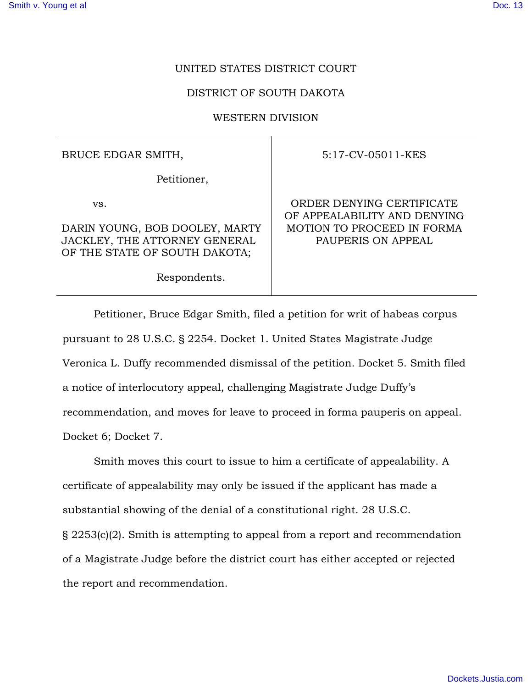## UNITED STATES DISTRICT COURT

## DISTRICT OF SOUTH DAKOTA

## WESTERN DIVISION

BRUCE EDGAR SMITH,

Petitioner,

vs.

DARIN YOUNG, BOB DOOLEY, MARTY JACKLEY, THE ATTORNEY GENERAL OF THE STATE OF SOUTH DAKOTA;

Respondents.

5:17-CV-05011-KES

ORDER DENYING CERTIFICATE OF APPEALABILITY AND DENYING MOTION TO PROCEED IN FORMA PAUPERIS ON APPEAL

Petitioner, Bruce Edgar Smith, filed a petition for writ of habeas corpus pursuant to 28 U.S.C. § 2254. Docket 1. United States Magistrate Judge Veronica L. Duffy recommended dismissal of the petition. Docket 5. Smith filed a notice of interlocutory appeal, challenging Magistrate Judge Duffy's recommendation, and moves for leave to proceed in forma pauperis on appeal. Docket 6; Docket 7.

Smith moves this court to issue to him a certificate of appealability. A certificate of appealability may only be issued if the applicant has made a substantial showing of the denial of a constitutional right. 28 U.S.C. § 2253(c)(2). Smith is attempting to appeal from a report and recommendation of a Magistrate Judge before the district court has either accepted or rejected the report and recommendation.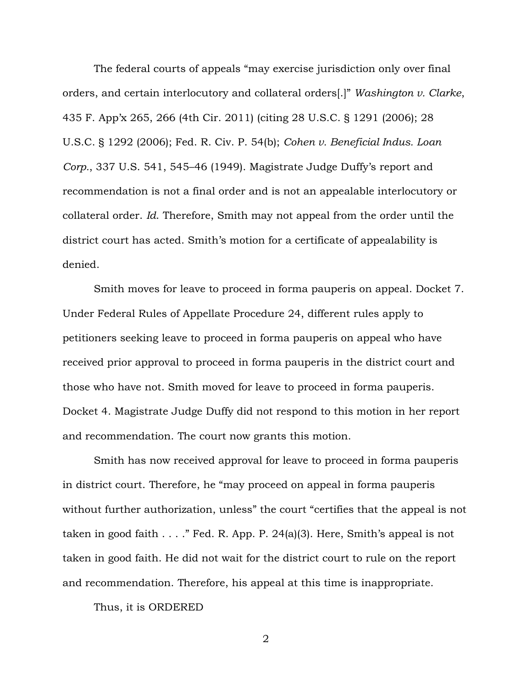The federal courts of appeals "may exercise jurisdiction only over final orders, and certain interlocutory and collateral orders[.]" *Washington v. Clarke*, 435 F. App'x 265, 266 (4th Cir. 2011) (citing 28 U.S.C. § 1291 (2006); 28 U.S.C. § 1292 (2006); Fed. R. Civ. P. 54(b); *Cohen v. Beneficial Indus. Loan Corp.*, 337 U.S. 541, 545–46 (1949). Magistrate Judge Duffy's report and recommendation is not a final order and is not an appealable interlocutory or collateral order. *Id*. Therefore, Smith may not appeal from the order until the district court has acted. Smith's motion for a certificate of appealability is denied.

Smith moves for leave to proceed in forma pauperis on appeal. Docket 7. Under Federal Rules of Appellate Procedure 24, different rules apply to petitioners seeking leave to proceed in forma pauperis on appeal who have received prior approval to proceed in forma pauperis in the district court and those who have not. Smith moved for leave to proceed in forma pauperis. Docket 4. Magistrate Judge Duffy did not respond to this motion in her report and recommendation. The court now grants this motion.

Smith has now received approval for leave to proceed in forma pauperis in district court. Therefore, he "may proceed on appeal in forma pauperis without further authorization, unless" the court "certifies that the appeal is not taken in good faith . . . ." Fed. R. App. P. 24(a)(3). Here, Smith's appeal is not taken in good faith. He did not wait for the district court to rule on the report and recommendation. Therefore, his appeal at this time is inappropriate.

Thus, it is ORDERED

2